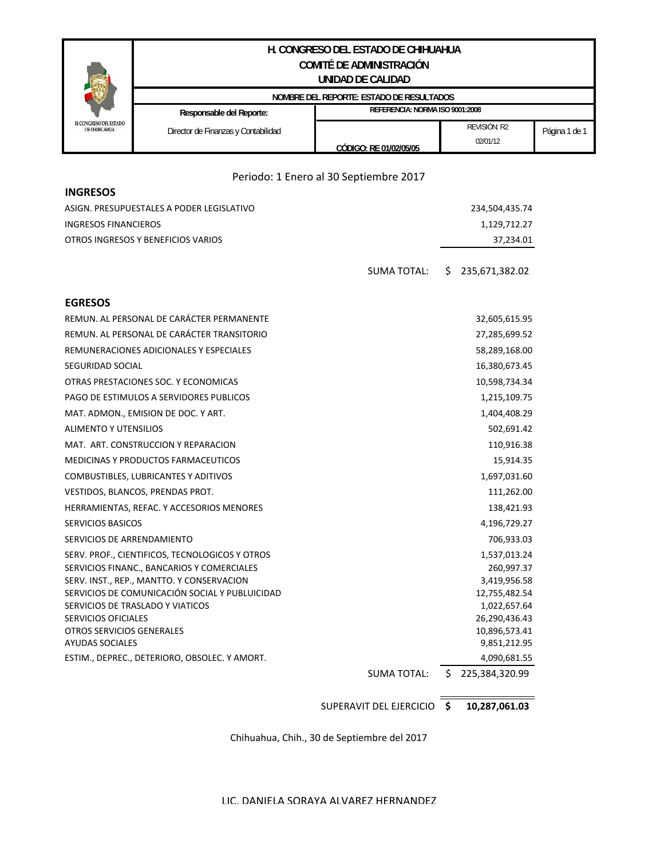## **H. CONGRESO DEL ESTADO DE CHIHUAHUA COMITÉ DE ADMINISTRACIÓN UNIDAD DE CALIDAD**

|                                               | NOMBRE DEL REPORTE: ESTADO DE RESULTADOS |                                 |                    |               |
|-----------------------------------------------|------------------------------------------|---------------------------------|--------------------|---------------|
|                                               | Responsable del Reporte:                 | REFERENCIA: NORMA ISO 9001:2008 |                    |               |
| H. CONGRESO DEL ESTADO<br><b>DE CHIHUAHUA</b> | Director de Finanzas y Contabilidad      |                                 | <b>REVISION R2</b> | Página 1 de 1 |
|                                               |                                          | CODIGO: RE 01/02/05/05          | 02/01/12           |               |

## Periodo: 1 Enero al 30 Septiembre 2017

| <b>INGRESOS</b>                                |                                            |  |  |
|------------------------------------------------|--------------------------------------------|--|--|
| ASIGN. PRESUPUESTALES A PODER LEGISLATIVO      | 234,504,435.74                             |  |  |
| <b>INGRESOS FINANCIEROS</b>                    | 1,129,712.27                               |  |  |
| OTROS INGRESOS Y BENEFICIOS VARIOS             | 37,234.01                                  |  |  |
|                                                | <b>SUMA TOTAL:</b><br>S.<br>235,671,382.02 |  |  |
| <b>EGRESOS</b>                                 |                                            |  |  |
| REMUN. AL PERSONAL DE CARÁCTER PERMANENTE      | 32,605,615.95                              |  |  |
| REMUN. AL PERSONAL DE CARÁCTER TRANSITORIO     | 27,285,699.52                              |  |  |
| REMUNERACIONES ADICIONALES Y ESPECIALES        | 58,289,168.00                              |  |  |
| SEGURIDAD SOCIAL                               | 16,380,673.45                              |  |  |
| OTRAS PRESTACIONES SOC. Y ECONOMICAS           | 10,598,734.34                              |  |  |
| PAGO DE ESTIMULOS A SERVIDORES PUBLICOS        | 1,215,109.75                               |  |  |
| MAT. ADMON., EMISION DE DOC. Y ART.            | 1,404,408.29                               |  |  |
| <b>ALIMENTO Y UTENSILIOS</b>                   | 502,691.42                                 |  |  |
| MAT. ART. CONSTRUCCION Y REPARACION            | 110,916.38                                 |  |  |
| MEDICINAS Y PRODUCTOS FARMACEUTICOS            | 15,914.35                                  |  |  |
| COMBUSTIBLES, LUBRICANTES Y ADITIVOS           | 1,697,031.60                               |  |  |
| VESTIDOS, BLANCOS, PRENDAS PROT.               | 111,262.00                                 |  |  |
| HERRAMIENTAS, REFAC. Y ACCESORIOS MENORES      | 138,421.93                                 |  |  |
| <b>SERVICIOS BASICOS</b>                       | 4,196,729.27                               |  |  |
| SERVICIOS DE ARRENDAMIENTO                     | 706,933.03                                 |  |  |
| SERV. PROF., CIENTIFICOS, TECNOLOGICOS Y OTROS | 1,537,013.24                               |  |  |
| SERVICIOS FINANC., BANCARIOS Y COMERCIALES     | 260,997.37                                 |  |  |
| SERV. INST., REP., MANTTO. Y CONSERVACION      | 3,419,956.58                               |  |  |
| SERVICIOS DE COMUNICACIÓN SOCIAL Y PUBLUICIDAD | 12,755,482.54                              |  |  |
| SERVICIOS DE TRASLADO Y VIATICOS               | 1,022,657.64                               |  |  |
| <b>SERVICIOS OFICIALES</b>                     | 26,290,436.43                              |  |  |
| OTROS SERVICIOS GENERALES                      | 10,896,573.41                              |  |  |
| <b>AYUDAS SOCIALES</b>                         | 9,851,212.95                               |  |  |
| ESTIM., DEPREC., DETERIORO, OBSOLEC. Y AMORT.  | 4,090,681.55                               |  |  |
|                                                | 225,384,320.99<br><b>SUMA TOTAL:</b><br>\$ |  |  |

**\$ 10,287,061.03** SUPERAVIT DEL EJERCICIO

Chihuahua, Chih., 30 de Septiembre del 2017